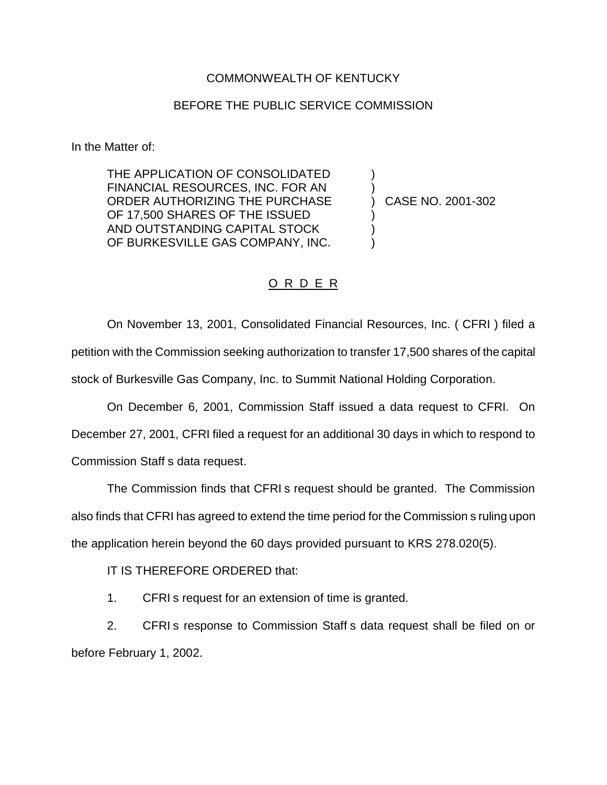## COMMONWEALTH OF KENTUCKY

## BEFORE THE PUBLIC SERVICE COMMISSION

In the Matter of:

THE APPLICATION OF CONSOLIDATED FINANCIAL RESOURCES, INC. FOR AN ) ORDER AUTHORIZING THE PURCHASE ) CASE NO. 2001-302 OF 17,500 SHARES OF THE ISSUED AND OUTSTANDING CAPITAL STOCK ) OF BURKESVILLE GAS COMPANY, INC.

## O R D E R

On November 13, 2001, Consolidated Financial Resources, Inc. ( CFRI ) filed a petition with the Commission seeking authorization to transfer 17,500 shares of the capital stock of Burkesville Gas Company, Inc. to Summit National Holding Corporation.

On December 6, 2001, Commission Staff issued a data request to CFRI. On December 27, 2001, CFRI filed a request for an additional 30 days in which to respond to Commission Staff s data request.

The Commission finds that CFRI s request should be granted. The Commission also finds that CFRI has agreed to extend the time period for the Commission s ruling upon the application herein beyond the 60 days provided pursuant to KRS 278.020(5).

IT IS THEREFORE ORDERED that:

1. CFRI s request for an extension of time is granted.

2. CFRI s response to Commission Staff s data request shall be filed on or before February 1, 2002.